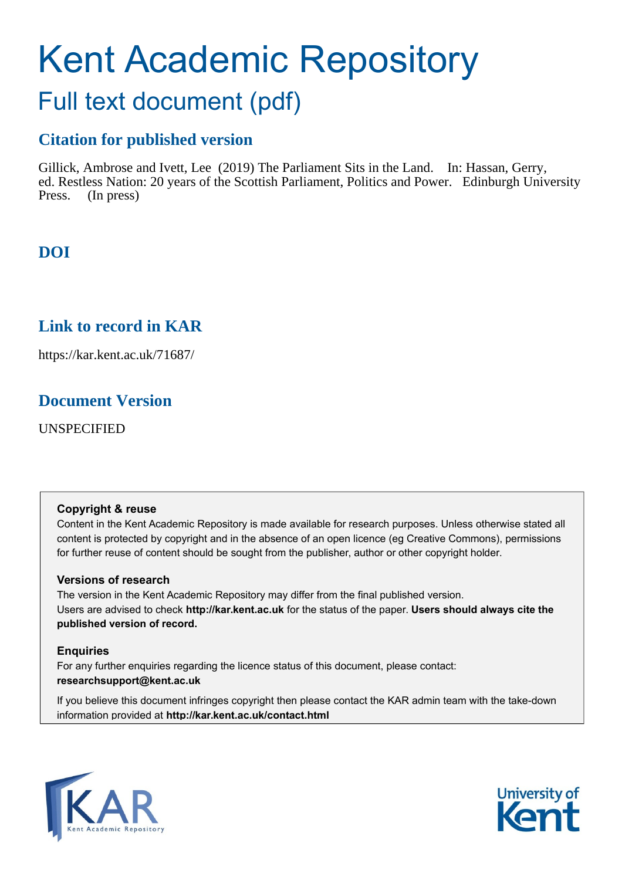# Kent Academic Repository

## Full text document (pdf)

## **Citation for published version**

Gillick, Ambrose and Ivett, Lee (2019) The Parliament Sits in the Land. In: Hassan, Gerry, ed. Restless Nation: 20 years of the Scottish Parliament, Politics and Power. Edinburgh University Press. (In press)

## **DOI**

## **Link to record in KAR**

https://kar.kent.ac.uk/71687/

## **Document Version**

UNSPECIFIED

#### **Copyright & reuse**

Content in the Kent Academic Repository is made available for research purposes. Unless otherwise stated all content is protected by copyright and in the absence of an open licence (eg Creative Commons), permissions for further reuse of content should be sought from the publisher, author or other copyright holder.

#### **Versions of research**

The version in the Kent Academic Repository may differ from the final published version. Users are advised to check **http://kar.kent.ac.uk** for the status of the paper. **Users should always cite the published version of record.**

#### **Enquiries**

For any further enquiries regarding the licence status of this document, please contact: **researchsupport@kent.ac.uk**

If you believe this document infringes copyright then please contact the KAR admin team with the take-down information provided at **http://kar.kent.ac.uk/contact.html**



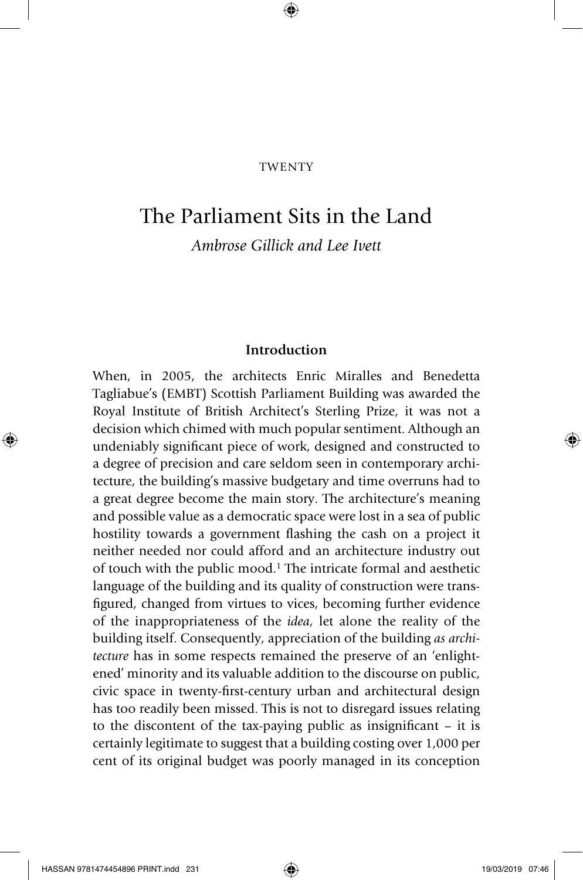#### **TWENTY**

⊕

### The Parliament Sits in the Land

*Ambrose Gillick and Lee Ivett*

#### **Introduction**

When, in 2005, the architects Enric Miralles and Benedetta Tagliabue's (EMBT) Scottish Parliament Building was awarded the Royal Institute of British Architect's Sterling Prize, it was not a decision which chimed with much popular sentiment. Although an undeniably significant piece of work, designed and constructed to a degree of precision and care seldom seen in contemporary architecture, the building's massive budgetary and time overruns had to a great degree become the main story. The architecture's meaning and possible value as a democratic space were lost in a sea of public hostility towards a government flashing the cash on a project it neither needed nor could afford and an architecture industry out of touch with the public mood.1 The intricate formal and aesthetic language of the building and its quality of construction were transfigured, changed from virtues to vices, becoming further evidence of the inappropriateness of the *idea*, let alone the reality of the building itself. Consequently, appreciation of the building *as architecture* has in some respects remained the preserve of an 'enlightened' minority and its valuable addition to the discourse on public, civic space in twenty-first-century urban and architectural design has too readily been missed. This is not to disregard issues relating to the discontent of the tax-paying public as insignificant – it is certainly legitimate to suggest that a building costing over 1,000 per cent of its original budget was poorly managed in its conception

HASSAN 9781474454896 PRINT.indd 231 **19/03/2019 07:46** 19/03/2019 07:46

◈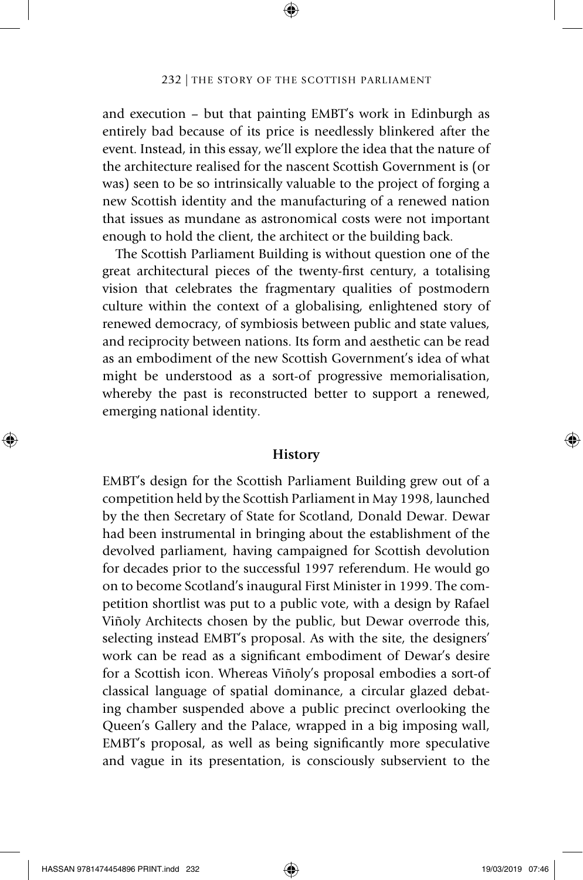⊕

and execution – but that painting EMBT's work in Edinburgh as entirely bad because of its price is needlessly blinkered after the event. Instead, in this essay, we'll explore the idea that the nature of the architecture realised for the nascent Scottish Government is (or was) seen to be so intrinsically valuable to the project of forging a new Scottish identity and the manufacturing of a renewed nation that issues as mundane as astronomical costs were not important enough to hold the client, the architect or the building back.

The Scottish Parliament Building is without question one of the great architectural pieces of the twenty-first century, a totalising vision that celebrates the fragmentary qualities of postmodern culture within the context of a globalising, enlightened story of renewed democracy, of symbiosis between public and state values, and reciprocity between nations. Its form and aesthetic can be read as an embodiment of the new Scottish Government's idea of what might be understood as a sort-of progressive memorialisation, whereby the past is reconstructed better to support a renewed, emerging national identity.

#### **History**

EMBT's design for the Scottish Parliament Building grew out of a competition held by the Scottish Parliament in May 1998, launched by the then Secretary of State for Scotland, Donald Dewar. Dewar had been instrumental in bringing about the establishment of the devolved parliament, having campaigned for Scottish devolution for decades prior to the successful 1997 referendum. He would go on to become Scotland's inaugural First Minister in 1999. The competition shortlist was put to a public vote, with a design by Rafael Viñoly Architects chosen by the public, but Dewar overrode this, selecting instead EMBT's proposal. As with the site, the designers' work can be read as a significant embodiment of Dewar's desire for a Scottish icon. Whereas Viñoly's proposal embodies a sort-of classical language of spatial dominance, a circular glazed debating chamber suspended above a public precinct overlooking the Queen's Gallery and the Palace, wrapped in a big imposing wall, EMBT's proposal, as well as being significantly more speculative and vague in its presentation, is consciously subservient to the

⊕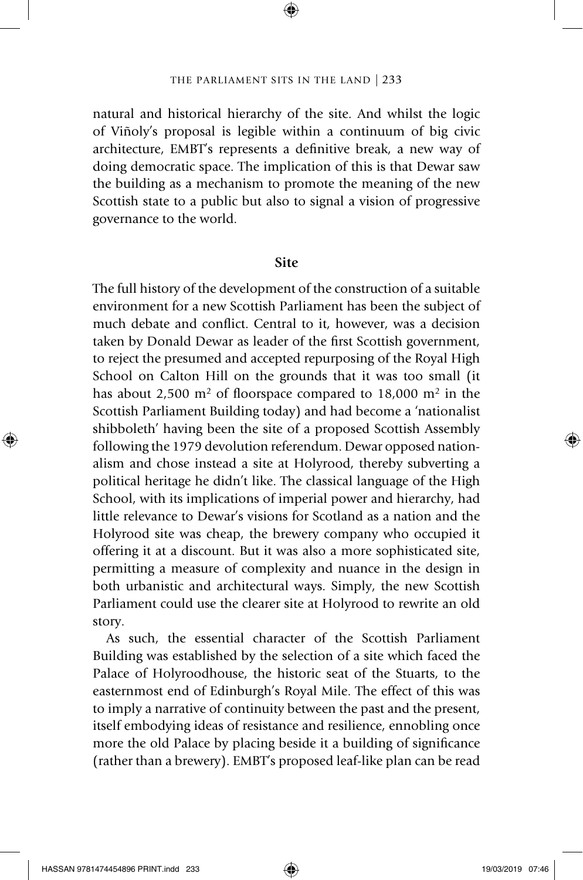⊕

natural and historical hierarchy of the site. And whilst the logic of Viñoly's proposal is legible within a continuum of big civic architecture, EMBT's represents a definitive break, a new way of doing democratic space. The implication of this is that Dewar saw the building as a mechanism to promote the meaning of the new Scottish state to a public but also to signal a vision of progressive governance to the world.

#### **Site**

The full history of the development of the construction of a suitable environment for a new Scottish Parliament has been the subject of much debate and conflict. Central to it, however, was a decision taken by Donald Dewar as leader of the first Scottish government, to reject the presumed and accepted repurposing of the Royal High School on Calton Hill on the grounds that it was too small (it has about 2,500  $m<sup>2</sup>$  of floorspace compared to 18,000  $m<sup>2</sup>$  in the Scottish Parliament Building today) and had become a 'nationalist shibboleth' having been the site of a proposed Scottish Assembly following the 1979 devolution referendum. Dewar opposed nationalism and chose instead a site at Holyrood, thereby subverting a political heritage he didn't like. The classical language of the High School, with its implications of imperial power and hierarchy, had little relevance to Dewar's visions for Scotland as a nation and the Holyrood site was cheap, the brewery company who occupied it offering it at a discount. But it was also a more sophisticated site, permitting a measure of complexity and nuance in the design in both urbanistic and architectural ways. Simply, the new Scottish Parliament could use the clearer site at Holyrood to rewrite an old story.

As such, the essential character of the Scottish Parliament Building was established by the selection of a site which faced the Palace of Holyroodhouse, the historic seat of the Stuarts, to the easternmost end of Edinburgh's Royal Mile. The effect of this was to imply a narrative of continuity between the past and the present, itself embodying ideas of resistance and resilience, ennobling once more the old Palace by placing beside it a building of significance (rather than a brewery). EMBT's proposed leaf-like plan can be read

◈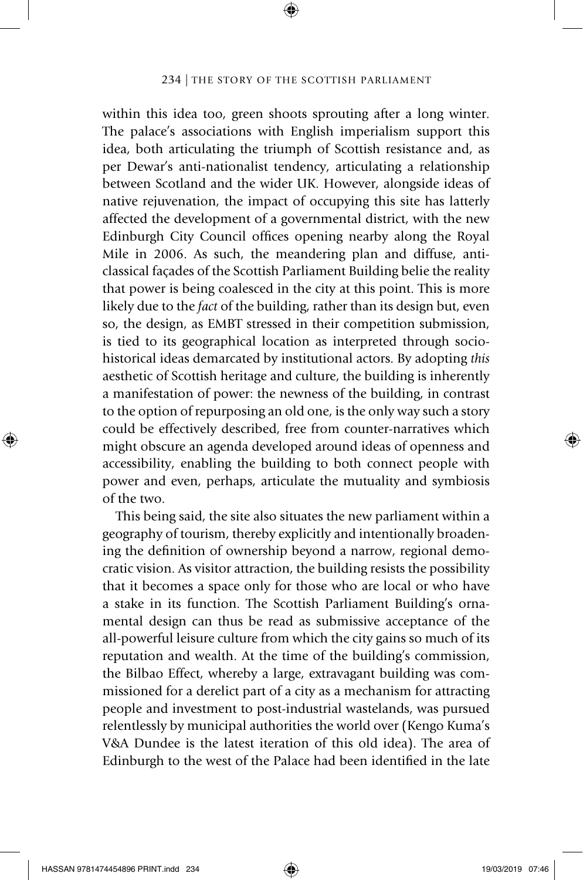⊕

within this idea too, green shoots sprouting after a long winter. The palace's associations with English imperialism support this idea, both articulating the triumph of Scottish resistance and, as per Dewar's anti-nationalist tendency, articulating a relationship between Scotland and the wider UK. However, alongside ideas of native rejuvenation, the impact of occupying this site has latterly affected the development of a governmental district, with the new Edinburgh City Council offices opening nearby along the Royal Mile in 2006. As such, the meandering plan and diffuse, anticlassical façades of the Scottish Parliament Building belie the reality that power is being coalesced in the city at this point. This is more likely due to the *fact* of the building, rather than its design but, even so, the design, as EMBT stressed in their competition submission, is tied to its geographical location as interpreted through sociohistorical ideas demarcated by institutional actors. By adopting *this* aesthetic of Scottish heritage and culture, the building is inherently a manifestation of power: the newness of the building, in contrast to the option of repurposing an old one, is the only way such a story could be effectively described, free from counter-narratives which might obscure an agenda developed around ideas of openness and accessibility, enabling the building to both connect people with power and even, perhaps, articulate the mutuality and symbiosis of the two.

This being said, the site also situates the new parliament within a geography of tourism, thereby explicitly and intentionally broadening the definition of ownership beyond a narrow, regional democratic vision. As visitor attraction, the building resists the possibility that it becomes a space only for those who are local or who have a stake in its function. The Scottish Parliament Building's ornamental design can thus be read as submissive acceptance of the all-powerful leisure culture from which the city gains so much of its reputation and wealth. At the time of the building's commission, the Bilbao Effect, whereby a large, extravagant building was commissioned for a derelict part of a city as a mechanism for attracting people and investment to post-industrial wastelands, was pursued relentlessly by municipal authorities the world over (Kengo Kuma's V&A Dundee is the latest iteration of this old idea). The area of Edinburgh to the west of the Palace had been identified in the late

◈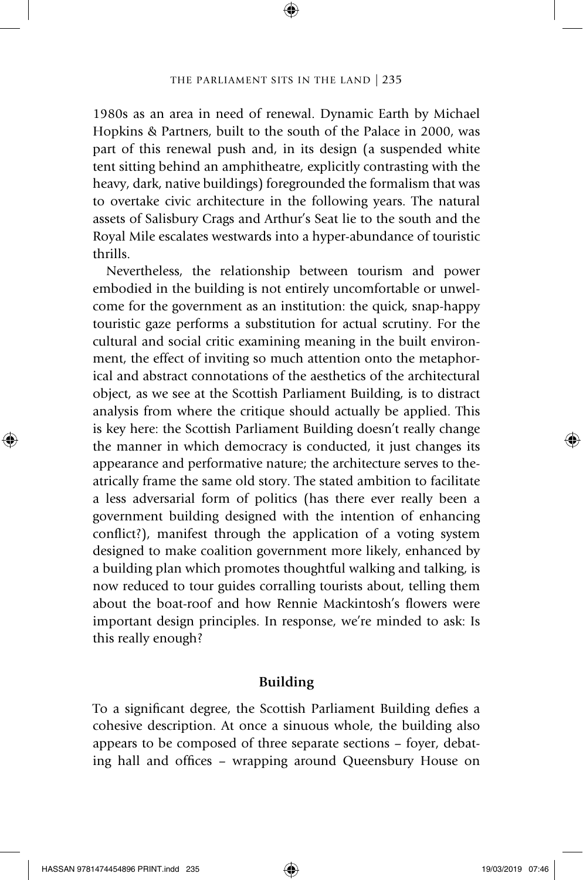⊕

1980s as an area in need of renewal. Dynamic Earth by Michael Hopkins & Partners, built to the south of the Palace in 2000, was part of this renewal push and, in its design (a suspended white tent sitting behind an amphitheatre, explicitly contrasting with the heavy, dark, native buildings) foregrounded the formalism that was to overtake civic architecture in the following years. The natural assets of Salisbury Crags and Arthur's Seat lie to the south and the Royal Mile escalates westwards into a hyper-abundance of touristic thrills.

Nevertheless, the relationship between tourism and power embodied in the building is not entirely uncomfortable or unwelcome for the government as an institution: the quick, snap-happy touristic gaze performs a substitution for actual scrutiny. For the cultural and social critic examining meaning in the built environment, the effect of inviting so much attention onto the metaphorical and abstract connotations of the aesthetics of the architectural object, as we see at the Scottish Parliament Building, is to distract analysis from where the critique should actually be applied. This is key here: the Scottish Parliament Building doesn't really change the manner in which democracy is conducted, it just changes its appearance and performative nature; the architecture serves to theatrically frame the same old story. The stated ambition to facilitate a less adversarial form of politics (has there ever really been a government building designed with the intention of enhancing conflict?), manifest through the application of a voting system designed to make coalition government more likely, enhanced by a building plan which promotes thoughtful walking and talking, is now reduced to tour guides corralling tourists about, telling them about the boat-roof and how Rennie Mackintosh's flowers were important design principles. In response, we're minded to ask: Is this really enough?

#### **Building**

To a significant degree, the Scottish Parliament Building defies a cohesive description. At once a sinuous whole, the building also appears to be composed of three separate sections – foyer, debating hall and offices – wrapping around Queensbury House on

HASSAN 9781474454896 PRINT.indd 235 19/03/2019 07:46

◈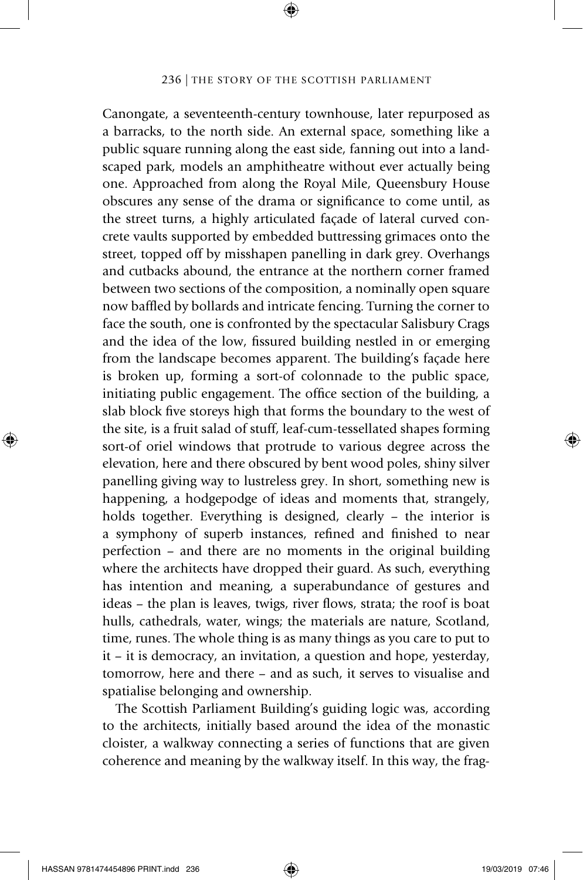⊕

Canongate, a seventeenth-century townhouse, later repurposed as a barracks, to the north side. An external space, something like a public square running along the east side, fanning out into a landscaped park, models an amphitheatre without ever actually being one. Approached from along the Royal Mile, Queensbury House obscures any sense of the drama or significance to come until, as the street turns, a highly articulated façade of lateral curved concrete vaults supported by embedded buttressing grimaces onto the street, topped off by misshapen panelling in dark grey. Overhangs and cutbacks abound, the entrance at the northern corner framed between two sections of the composition, a nominally open square now baffled by bollards and intricate fencing. Turning the corner to face the south, one is confronted by the spectacular Salisbury Crags and the idea of the low, fissured building nestled in or emerging from the landscape becomes apparent. The building's façade here is broken up, forming a sort-of colonnade to the public space, initiating public engagement. The office section of the building, a slab block five storeys high that forms the boundary to the west of the site, is a fruit salad of stuff, leaf-cum-tessellated shapes forming sort-of oriel windows that protrude to various degree across the elevation, here and there obscured by bent wood poles, shiny silver panelling giving way to lustreless grey. In short, something new is happening, a hodgepodge of ideas and moments that, strangely, holds together. Everything is designed, clearly – the interior is a symphony of superb instances, refined and finished to near perfection – and there are no moments in the original building where the architects have dropped their guard. As such, everything has intention and meaning, a superabundance of gestures and ideas – the plan is leaves, twigs, river flows, strata; the roof is boat hulls, cathedrals, water, wings; the materials are nature, Scotland, time, runes. The whole thing is as many things as you care to put to it – it is democracy, an invitation, a question and hope, yesterday, tomorrow, here and there – and as such, it serves to visualise and spatialise belonging and ownership.

The Scottish Parliament Building's guiding logic was, according to the architects, initially based around the idea of the monastic cloister, a walkway connecting a series of functions that are given coherence and meaning by the walkway itself. In this way, the frag-

◈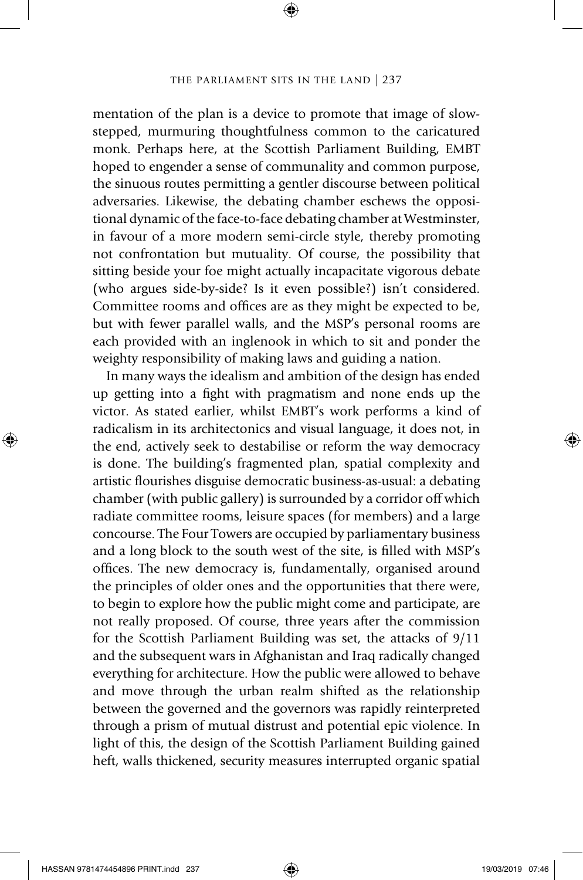⊕

mentation of the plan is a device to promote that image of slowstepped, murmuring thoughtfulness common to the caricatured monk. Perhaps here, at the Scottish Parliament Building, EMBT hoped to engender a sense of communality and common purpose, the sinuous routes permitting a gentler discourse between political adversaries. Likewise, the debating chamber eschews the oppositional dynamic of the face-to-face debating chamber at Westminster, in favour of a more modern semi-circle style, thereby promoting not confrontation but mutuality. Of course, the possibility that sitting beside your foe might actually incapacitate vigorous debate (who argues side-by-side? Is it even possible?) isn't considered. Committee rooms and offices are as they might be expected to be, but with fewer parallel walls, and the MSP's personal rooms are each provided with an inglenook in which to sit and ponder the weighty responsibility of making laws and guiding a nation.

In many ways the idealism and ambition of the design has ended up getting into a fight with pragmatism and none ends up the victor. As stated earlier, whilst EMBT's work performs a kind of radicalism in its architectonics and visual language, it does not, in the end, actively seek to destabilise or reform the way democracy is done. The building's fragmented plan, spatial complexity and artistic flourishes disguise democratic business-as-usual: a debating chamber (with public gallery) is surrounded by a corridor off which radiate committee rooms, leisure spaces (for members) and a large concourse. The Four Towers are occupied by parliamentary business and a long block to the south west of the site, is filled with MSP's offices. The new democracy is, fundamentally, organised around the principles of older ones and the opportunities that there were, to begin to explore how the public might come and participate, are not really proposed. Of course, three years after the commission for the Scottish Parliament Building was set, the attacks of 9/11 and the subsequent wars in Afghanistan and Iraq radically changed everything for architecture. How the public were allowed to behave and move through the urban realm shifted as the relationship between the governed and the governors was rapidly reinterpreted through a prism of mutual distrust and potential epic violence. In light of this, the design of the Scottish Parliament Building gained heft, walls thickened, security measures interrupted organic spatial

◈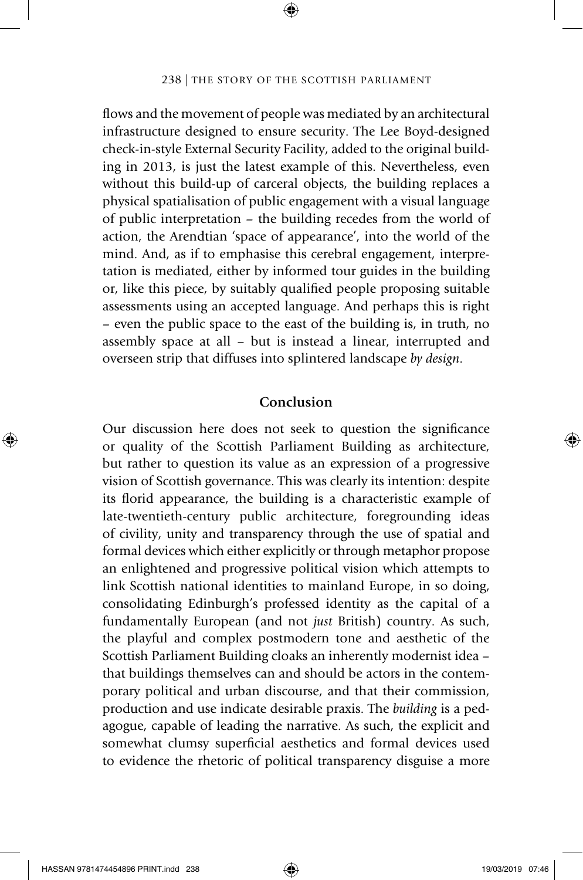⊕

flows and the movement of people was mediated by an architectural infrastructure designed to ensure security. The Lee Boyd-designed check-in-style External Security Facility, added to the original building in 2013, is just the latest example of this. Nevertheless, even without this build-up of carceral objects, the building replaces a physical spatialisation of public engagement with a visual language of public interpretation – the building recedes from the world of action, the Arendtian 'space of appearance', into the world of the mind. And, as if to emphasise this cerebral engagement, interpretation is mediated, either by informed tour guides in the building or, like this piece, by suitably qualified people proposing suitable assessments using an accepted language. And perhaps this is right – even the public space to the east of the building is, in truth, no assembly space at all – but is instead a linear, interrupted and overseen strip that diffuses into splintered landscape *by design*.

#### **Conclusion**

Our discussion here does not seek to question the significance or quality of the Scottish Parliament Building as architecture, but rather to question its value as an expression of a progressive vision of Scottish governance. This was clearly its intention: despite its florid appearance, the building is a characteristic example of late-twentieth-century public architecture, foregrounding ideas of civility, unity and transparency through the use of spatial and formal devices which either explicitly or through metaphor propose an enlightened and progressive political vision which attempts to link Scottish national identities to mainland Europe, in so doing, consolidating Edinburgh's professed identity as the capital of a fundamentally European (and not *just* British) country. As such, the playful and complex postmodern tone and aesthetic of the Scottish Parliament Building cloaks an inherently modernist idea – that buildings themselves can and should be actors in the contemporary political and urban discourse, and that their commission, production and use indicate desirable praxis. The *building* is a pedagogue, capable of leading the narrative. As such, the explicit and somewhat clumsy superficial aesthetics and formal devices used to evidence the rhetoric of political transparency disguise a more

⊕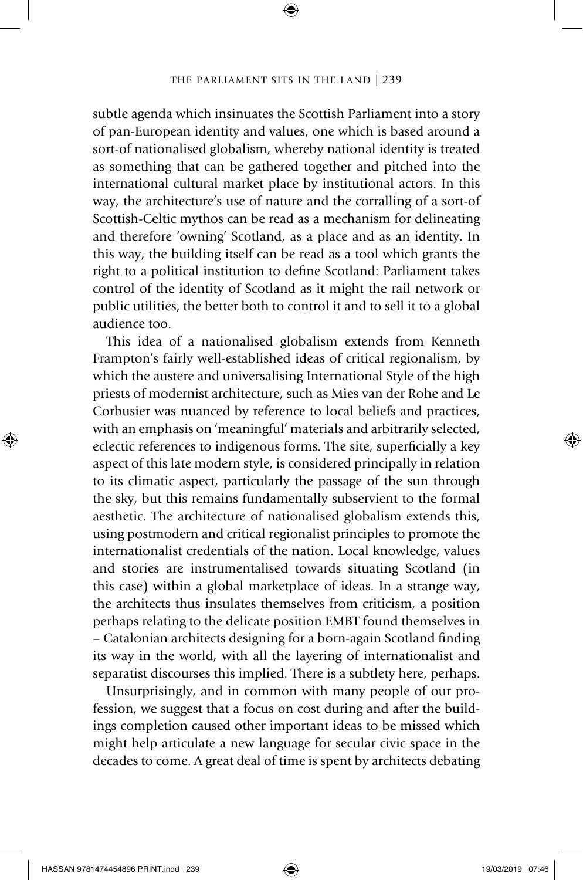⊕

subtle agenda which insinuates the Scottish Parliament into a story of pan-European identity and values, one which is based around a sort-of nationalised globalism, whereby national identity is treated as something that can be gathered together and pitched into the international cultural market place by institutional actors. In this way, the architecture's use of nature and the corralling of a sort-of Scottish-Celtic mythos can be read as a mechanism for delineating and therefore 'owning' Scotland, as a place and as an identity. In this way, the building itself can be read as a tool which grants the right to a political institution to define Scotland: Parliament takes control of the identity of Scotland as it might the rail network or public utilities, the better both to control it and to sell it to a global audience too.

This idea of a nationalised globalism extends from Kenneth Frampton's fairly well-established ideas of critical regionalism, by which the austere and universalising International Style of the high priests of modernist architecture, such as Mies van der Rohe and Le Corbusier was nuanced by reference to local beliefs and practices, with an emphasis on 'meaningful' materials and arbitrarily selected, eclectic references to indigenous forms. The site, superficially a key aspect of this late modern style, is considered principally in relation to its climatic aspect, particularly the passage of the sun through the sky, but this remains fundamentally subservient to the formal aesthetic. The architecture of nationalised globalism extends this, using postmodern and critical regionalist principles to promote the internationalist credentials of the nation. Local knowledge, values and stories are instrumentalised towards situating Scotland (in this case) within a global marketplace of ideas. In a strange way, the architects thus insulates themselves from criticism, a position perhaps relating to the delicate position EMBT found themselves in – Catalonian architects designing for a born-again Scotland finding its way in the world, with all the layering of internationalist and separatist discourses this implied. There is a subtlety here, perhaps.

Unsurprisingly, and in common with many people of our profession, we suggest that a focus on cost during and after the buildings completion caused other important ideas to be missed which might help articulate a new language for secular civic space in the decades to come. A great deal of time is spent by architects debating

◈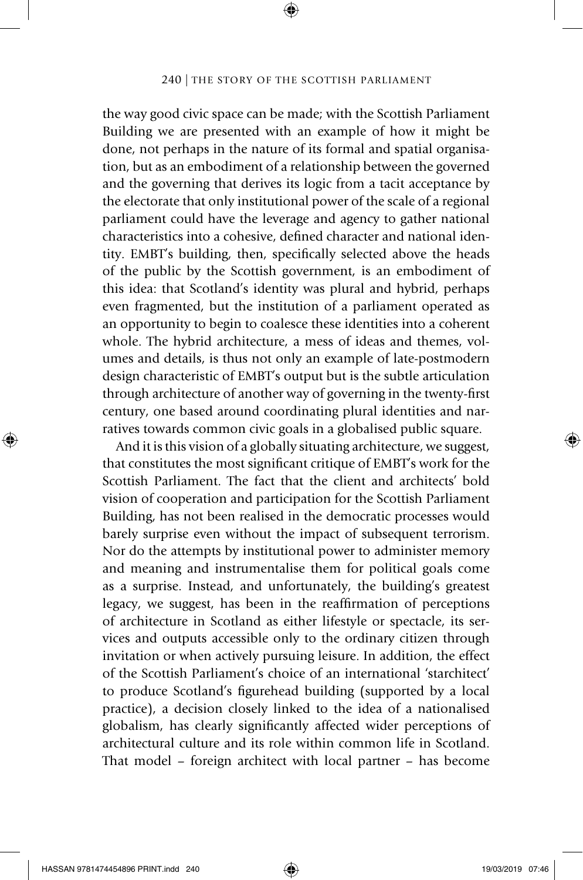⊕

the way good civic space can be made; with the Scottish Parliament Building we are presented with an example of how it might be done, not perhaps in the nature of its formal and spatial organisation, but as an embodiment of a relationship between the governed and the governing that derives its logic from a tacit acceptance by the electorate that only institutional power of the scale of a regional parliament could have the leverage and agency to gather national characteristics into a cohesive, defined character and national identity. EMBT's building, then, specifically selected above the heads of the public by the Scottish government, is an embodiment of this idea: that Scotland's identity was plural and hybrid, perhaps even fragmented, but the institution of a parliament operated as an opportunity to begin to coalesce these identities into a coherent whole. The hybrid architecture, a mess of ideas and themes, volumes and details, is thus not only an example of late-postmodern design characteristic of EMBT's output but is the subtle articulation through architecture of another way of governing in the twenty-first century, one based around coordinating plural identities and narratives towards common civic goals in a globalised public square.

And it is this vision of a globally situating architecture, we suggest, that constitutes the most significant critique of EMBT's work for the Scottish Parliament. The fact that the client and architects' bold vision of cooperation and participation for the Scottish Parliament Building, has not been realised in the democratic processes would barely surprise even without the impact of subsequent terrorism. Nor do the attempts by institutional power to administer memory and meaning and instrumentalise them for political goals come as a surprise. Instead, and unfortunately, the building's greatest legacy, we suggest, has been in the reaffirmation of perceptions of architecture in Scotland as either lifestyle or spectacle, its services and outputs accessible only to the ordinary citizen through invitation or when actively pursuing leisure. In addition, the effect of the Scottish Parliament's choice of an international 'starchitect' to produce Scotland's figurehead building (supported by a local practice), a decision closely linked to the idea of a nationalised globalism, has clearly significantly affected wider perceptions of architectural culture and its role within common life in Scotland. That model – foreign architect with local partner – has become

◈

⊕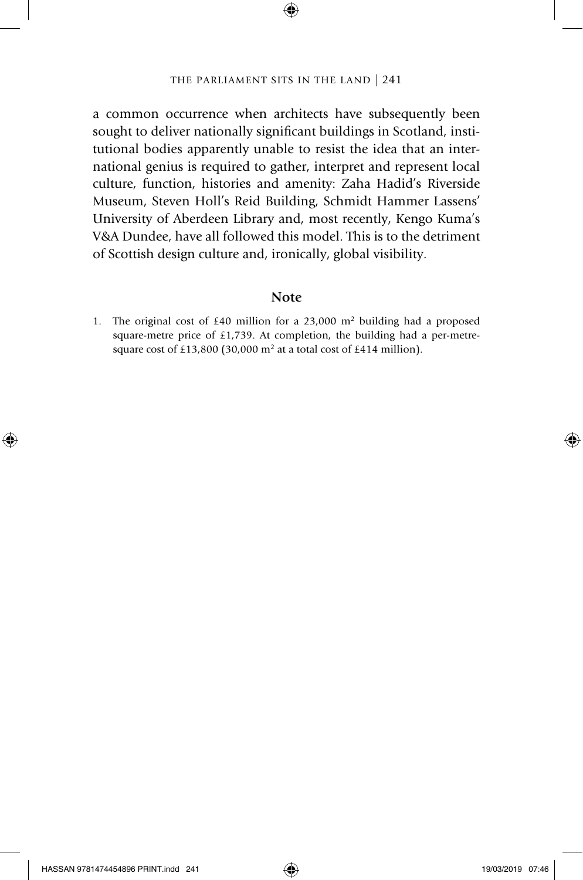⊕

a common occurrence when architects have subsequently been sought to deliver nationally significant buildings in Scotland, institutional bodies apparently unable to resist the idea that an international genius is required to gather, interpret and represent local culture, function, histories and amenity: Zaha Hadid's Riverside Museum, Steven Holl's Reid Building, Schmidt Hammer Lassens' University of Aberdeen Library and, most recently, Kengo Kuma's V&A Dundee, have all followed this model. This is to the detriment of Scottish design culture and, ironically, global visibility.

#### **Note**

1. The original cost of £40 million for a 23,000  $m<sup>2</sup>$  building had a proposed square-metre price of £1,739. At completion, the building had a per-metresquare cost of £13,800 (30,000 m<sup>2</sup> at a total cost of £414 million).

⊕

◈